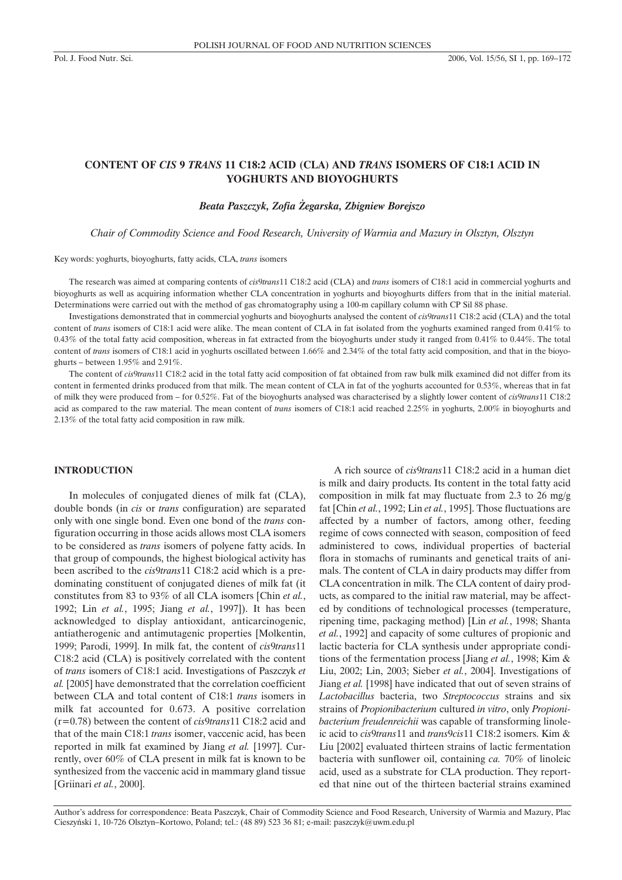# **CONTENT OF** *CIS* **9** *TRANS* **11 C18:2 ACID (CLA) AND** *TRANS* **ISOMERS OF C18:1 ACID IN YOGHURTS AND BIOYOGHURTS**

### *Beata Paszczyk, Zofia ¯egarska, Zbigniew Borejszo*

*Chair of Commodity Science and Food Research, University of Warmia and Mazury in Olsztyn, Olsztyn*

Key words: yoghurts, bioyoghurts, fatty acids, CLA, *trans* isomers

The research was aimed at comparing contents of *cis*9*trans*11 C18:2 acid (CLA) and *trans* isomers of C18:1 acid in commercial yoghurts and bioyoghurts as well as acquiring information whether CLA concentration in yoghurts and bioyoghurts differs from that in the initial material. Determinations were carried out with the method of gas chromatography using a 100-m capillary column with CP Sil 88 phase.

Investigations demonstrated that in commercial yoghurts and bioyoghurts analysed the content of *cis*9*trans*11 C18:2 acid (CLA) and the total content of *trans* isomers of C18:1 acid were alike. The mean content of CLA in fat isolated from the yoghurts examined ranged from 0.41% to 0.43% of the total fatty acid composition, whereas in fat extracted from the bioyoghurts under study it ranged from 0.41% to 0.44%. The total content of *trans* isomers of C18:1 acid in yoghurts oscillated between 1.66% and 2.34% of the total fatty acid composition, and that in the bioyoghurts – between 1.95% and 2.91%.

The content of *cis*9*trans*11 C18:2 acid in the total fatty acid composition of fat obtained from raw bulk milk examined did not differ from its content in fermented drinks produced from that milk. The mean content of CLA in fat of the yoghurts accounted for 0.53%, whereas that in fat of milk they were produced from – for 0.52%. Fat of the bioyoghurts analysed was characterised by a slightly lower content of *cis*9*trans*11 C18:2 acid as compared to the raw material. The mean content of *trans* isomers of C18:1 acid reached 2.25% in yoghurts, 2.00% in bioyoghurts and 2.13% of the total fatty acid composition in raw milk.

#### **INTRODUCTION**

In molecules of conjugated dienes of milk fat (CLA), double bonds (in *cis* or *trans* configuration) are separated only with one single bond. Even one bond of the *trans* configuration occurring in those acids allows most CLA isomers to be considered as *trans* isomers of polyene fatty acids. In that group of compounds, the highest biological activity has been ascribed to the *cis*9*trans*11 C18:2 acid which is a predominating constituent of conjugated dienes of milk fat (it constitutes from 83 to 93% of all CLA isomers [Chin *et al.*, 1992; Lin *et al.*, 1995; Jiang *et al.*, 1997]). It has been acknowledged to display antioxidant, anticarcinogenic, antiatherogenic and antimutagenic properties [Molkentin, 1999; Parodi, 1999]. In milk fat, the content of *cis*9*trans*11 C18:2 acid (CLA) is positively correlated with the content of *trans* isomers of C18:1 acid. Investigations of Paszczyk *et al.* [2005] have demonstrated that the correlation coefficient between CLA and total content of C18:1 *trans* isomers in milk fat accounted for 0.673. A positive correlation (r=0.78) between the content of *cis*9*trans*11 C18:2 acid and that of the main C18:1 *trans* isomer, vaccenic acid, has been reported in milk fat examined by Jiang *et al.* [1997]. Currently, over 60% of CLA present in milk fat is known to be synthesized from the vaccenic acid in mammary gland tissue [Griinari *et al.*, 2000].

A rich source of *cis*9*trans*11 C18:2 acid in a human diet is milk and dairy products. Its content in the total fatty acid composition in milk fat may fluctuate from 2.3 to 26 mg/g fat [Chin *et al.*, 1992; Lin *et al.*, 1995]. Those fluctuations are affected by a number of factors, among other, feeding regime of cows connected with season, composition of feed administered to cows, individual properties of bacterial flora in stomachs of ruminants and genetical traits of animals. The content of CLA in dairy products may differ from CLA concentration in milk. The CLA content of dairy products, as compared to the initial raw material, may be affected by conditions of technological processes (temperature, ripening time, packaging method) [Lin *et al.*, 1998; Shanta *et al.*, 1992] and capacity of some cultures of propionic and lactic bacteria for CLA synthesis under appropriate conditions of the fermentation process [Jiang *et al.*, 1998; Kim & Liu, 2002; Lin, 2003; Sieber *et al.*, 2004]. Investigations of Jiang *et al.* [1998] have indicated that out of seven strains of *Lactobacillus* bacteria, two *Streptococcus* strains and six strains of *Propionibacterium* cultured *in vitro*, only *Propionibacterium freudenreichii* was capable of transforming linoleic acid to *cis*9*trans*11 and *trans*9*cis*11 C18:2 isomers. Kim & Liu [2002] evaluated thirteen strains of lactic fermentation bacteria with sunflower oil, containing *ca.* 70% of linoleic acid, used as a substrate for CLA production. They reported that nine out of the thirteen bacterial strains examined

Author's address for correspondence: Beata Paszczyk, Chair of Commodity Science and Food Research, University of Warmia and Mazury, Plac Cieszyñski 1, 10-726 Olsztyn–Kortowo, Poland; tel.: (48 89) 523 36 81; e-mail: paszczyk@uwm.edu.pl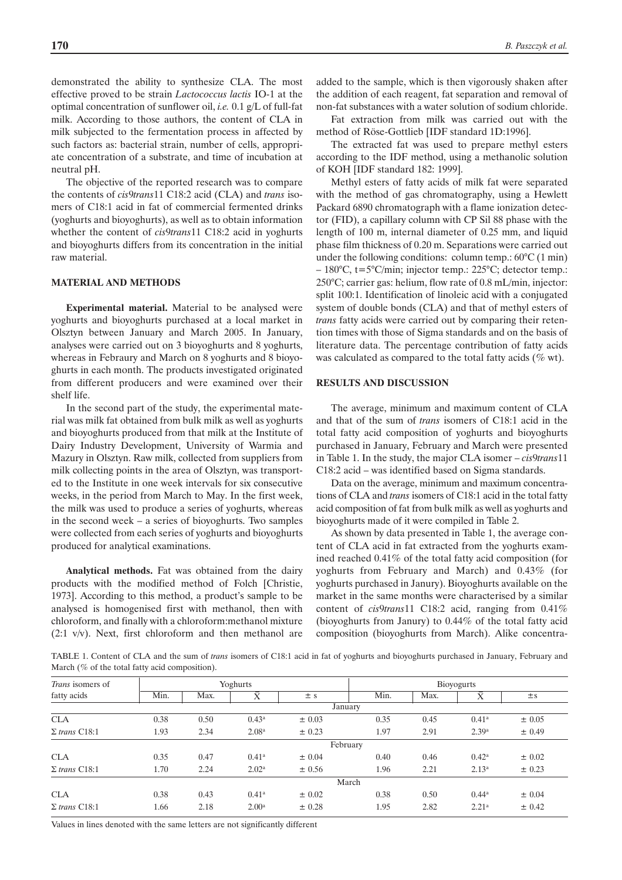demonstrated the ability to synthesize CLA. The most effective proved to be strain *Lactococcus lactis* IO-1 at the optimal concentration of sunflower oil, *i.e.* 0.1 g/L of full-fat milk. According to those authors, the content of CLA in milk subjected to the fermentation process in affected by such factors as: bacterial strain, number of cells, appropriate concentration of a substrate, and time of incubation at neutral pH.

The objective of the reported research was to compare the contents of *cis*9*trans*11 C18:2 acid (CLA) and *trans* isomers of C18:1 acid in fat of commercial fermented drinks (yoghurts and bioyoghurts), as well as to obtain information whether the content of *cis*9*trans*11 C18:2 acid in yoghurts and bioyoghurts differs from its concentration in the initial raw material.

## **MATERIAL AND METHODS**

**Experimental material.** Material to be analysed were yoghurts and bioyoghurts purchased at a local market in Olsztyn between January and March 2005. In January, analyses were carried out on 3 bioyoghurts and 8 yoghurts, whereas in Febraury and March on 8 yoghurts and 8 bioyoghurts in each month. The products investigated originated from different producers and were examined over their shelf life.

In the second part of the study, the experimental material was milk fat obtained from bulk milk as well as yoghurts and bioyoghurts produced from that milk at the Institute of Dairy Industry Development, University of Warmia and Mazury in Olsztyn. Raw milk, collected from suppliers from milk collecting points in the area of Olsztyn, was transported to the Institute in one week intervals for six consecutive weeks, in the period from March to May. In the first week, the milk was used to produce a series of yoghurts, whereas in the second week – a series of bioyoghurts. Two samples were collected from each series of yoghurts and bioyoghurts produced for analytical examinations.

**Analytical methods.** Fat was obtained from the dairy products with the modified method of Folch [Christie, 1973]. According to this method, a product's sample to be analysed is homogenised first with methanol, then with chloroform, and finally with a chloroform:methanol mixture (2:1 v/v). Next, first chloroform and then methanol are added to the sample, which is then vigorously shaken after the addition of each reagent, fat separation and removal of non-fat substances with a water solution of sodium chloride.

Fat extraction from milk was carried out with the method of Röse-Gottlieb [IDF standard 1D:1996].

The extracted fat was used to prepare methyl esters according to the IDF method, using a methanolic solution of KOH [IDF standard 182: 1999].

Methyl esters of fatty acids of milk fat were separated with the method of gas chromatography, using a Hewlett Packard 6890 chromatograph with a flame ionization detector (FID), a capillary column with CP Sil 88 phase with the length of 100 m, internal diameter of 0.25 mm, and liquid phase film thickness of 0.20 m. Separations were carried out under the following conditions: column temp.: 60°C (1 min) – 180°C, t=5°C/min; injector temp.: 225°C; detector temp.: 250°C; carrier gas: helium, flow rate of 0.8 mL/min, injector: split 100:1. Identification of linoleic acid with a conjugated system of double bonds (CLA) and that of methyl esters of *trans* fatty acids were carried out by comparing their retention times with those of Sigma standards and on the basis of literature data. The percentage contribution of fatty acids was calculated as compared to the total fatty acids (% wt).

#### **RESULTS AND DISCUSSION**

The average, minimum and maximum content of CLA and that of the sum of *trans* isomers of C18:1 acid in the total fatty acid composition of yoghurts and bioyoghurts purchased in January, February and March were presented in Table 1. In the study, the major CLA isomer – *cis*9*trans*11 C18:2 acid – was identified based on Sigma standards.

Data on the average, minimum and maximum concentrations of CLA and *trans* isomers of C18:1 acid in the total fatty acid composition of fat from bulk milk as well as yoghurts and bioyoghurts made of it were compiled in Table 2.

As shown by data presented in Table 1, the average content of CLA acid in fat extracted from the yoghurts examined reached 0.41% of the total fatty acid composition (for yoghurts from February and March) and 0.43% (for yoghurts purchased in Janury). Bioyoghurts available on the market in the same months were characterised by a similar content of *cis*9*trans*11 C18:2 acid, ranging from 0.41% (bioyoghurts from Janury) to 0.44% of the total fatty acid composition (bioyoghurts from March). Alike concentra-

TABLE 1. Content of CLA and the sum of *trans* isomers of C18:1 acid in fat of yoghurts and bioyoghurts purchased in January, February and March (% of the total fatty acid composition).

| Trans isomers of     | Yoghurts |      |                   |            | Bioyogurts |      |                   |            |  |  |  |
|----------------------|----------|------|-------------------|------------|------------|------|-------------------|------------|--|--|--|
| fatty acids          | Min.     | Max. | $\bar{X}$         | ± s        | Min.       | Max. | $\bar{X}$         | $\pm$ s    |  |  |  |
|                      | January  |      |                   |            |            |      |                   |            |  |  |  |
| <b>CLA</b>           | 0.38     | 0.50 | $0.43^{\rm a}$    | $\pm 0.03$ | 0.35       | 0.45 | 0.41 <sup>a</sup> | ± 0.05     |  |  |  |
| $\Sigma$ trans C18:1 | 1.93     | 2.34 | 2.08 <sup>a</sup> | $\pm$ 0.23 | 1.97       | 2.91 | 2.39 <sup>a</sup> | ± 0.49     |  |  |  |
|                      | February |      |                   |            |            |      |                   |            |  |  |  |
| <b>CLA</b>           | 0.35     | 0.47 | $0.41^{\rm a}$    | ± 0.04     | 0.40       | 0.46 | $0.42^{\rm a}$    | $\pm$ 0.02 |  |  |  |
| $\Sigma$ trans C18:1 | 1.70     | 2.24 | 2.02 <sup>a</sup> | $\pm 0.56$ | 1.96       | 2.21 | 2.13 <sup>a</sup> | $\pm$ 0.23 |  |  |  |
|                      | March    |      |                   |            |            |      |                   |            |  |  |  |
| <b>CLA</b>           | 0.38     | 0.43 | $0.41^{\rm a}$    | $\pm 0.02$ | 0.38       | 0.50 | $0.44^{\rm a}$    | $\pm 0.04$ |  |  |  |
| $\Sigma$ trans C18:1 | 1.66     | 2.18 | 2.00 <sup>a</sup> | $\pm$ 0.28 | 1.95       | 2.82 | 2.21 <sup>a</sup> | ± 0.42     |  |  |  |

Values in lines denoted with the same letters are not significantly different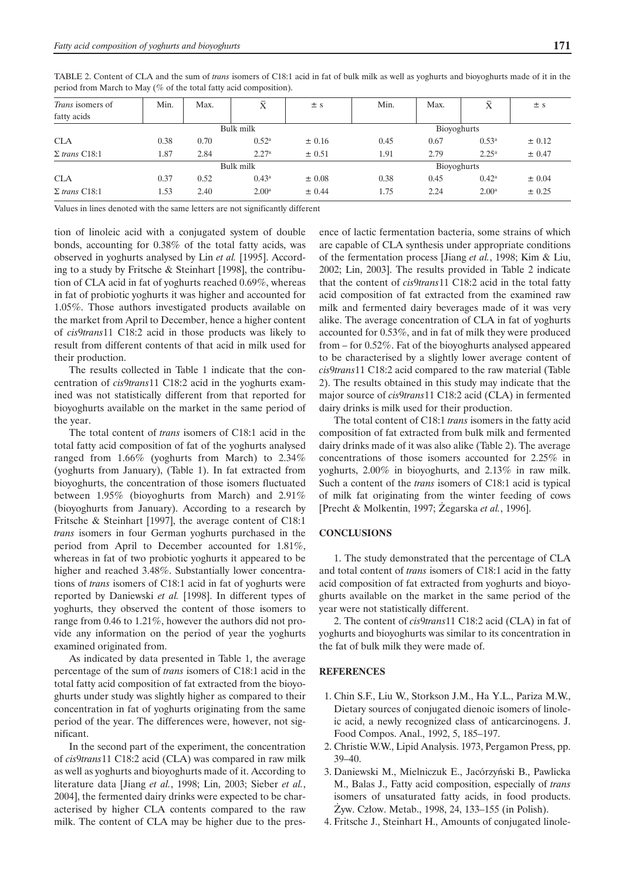| <i>Trans</i> isomers of<br>fatty acids | Min.      | Max. | $\bar{\text{X}}$  | $\pm$ s    | Min.        | Max. | $\bar{\text{X}}$  | ± s        |  |
|----------------------------------------|-----------|------|-------------------|------------|-------------|------|-------------------|------------|--|
|                                        | Bulk milk |      |                   |            | Bioyoghurts |      |                   |            |  |
| <b>CLA</b>                             | 0.38      | 0.70 | 0.52 <sup>a</sup> | ± 0.16     | 0.45        | 0.67 | 0.53 <sup>a</sup> | $\pm$ 0.12 |  |
| $\Sigma$ trans C18:1                   | 1.87      | 2.84 | 2.27 <sup>a</sup> | ± 0.51     | 1.91        | 2.79 | $2.25^{\rm a}$    | ± 0.47     |  |
|                                        | Bulk milk |      |                   |            | Bioyoghurts |      |                   |            |  |
| <b>CLA</b>                             | 0.37      | 0.52 | 0.43 <sup>a</sup> | $\pm$ 0.08 | 0.38        | 0.45 | $0.42^{\rm a}$    | ± 0.04     |  |
| $\Sigma$ trans C18:1                   | 1.53      | 2.40 | 2.00 <sup>a</sup> | ± 0.44     | 1.75        | 2.24 | 2.00 <sup>a</sup> | ± 0.25     |  |

TABLE 2. Content of CLA and the sum of *trans* isomers of C18:1 acid in fat of bulk milk as well as yoghurts and bioyoghurts made of it in the period from March to May (% of the total fatty acid composition).

Values in lines denoted with the same letters are not significantly different

tion of linoleic acid with a conjugated system of double bonds, accounting for 0.38% of the total fatty acids, was observed in yoghurts analysed by Lin *et al.* [1995]. According to a study by Fritsche & Steinhart [1998], the contribution of CLA acid in fat of yoghurts reached 0.69%, whereas in fat of probiotic yoghurts it was higher and accounted for 1.05%. Those authors investigated products available on the market from April to December, hence a higher content of *cis*9*trans*11 C18:2 acid in those products was likely to result from different contents of that acid in milk used for their production.

The results collected in Table 1 indicate that the concentration of *cis*9*trans*11 C18:2 acid in the yoghurts examined was not statistically different from that reported for bioyoghurts available on the market in the same period of the year.

The total content of *trans* isomers of C18:1 acid in the total fatty acid composition of fat of the yoghurts analysed ranged from 1.66% (yoghurts from March) to 2.34% (yoghurts from January), (Table 1). In fat extracted from bioyoghurts, the concentration of those isomers fluctuated between 1.95% (bioyoghurts from March) and 2.91% (bioyoghurts from January). According to a research by Fritsche & Steinhart [1997], the average content of C18:1 *trans* isomers in four German yoghurts purchased in the period from April to December accounted for 1.81%, whereas in fat of two probiotic yoghurts it appeared to be higher and reached 3.48%. Substantially lower concentrations of *trans* isomers of C18:1 acid in fat of yoghurts were reported by Daniewski *et al.* [1998]. In different types of yoghurts, they observed the content of those isomers to range from 0.46 to 1.21%, however the authors did not provide any information on the period of year the yoghurts examined originated from.

As indicated by data presented in Table 1, the average percentage of the sum of *trans* isomers of C18:1 acid in the total fatty acid composition of fat extracted from the bioyoghurts under study was slightly higher as compared to their concentration in fat of yoghurts originating from the same period of the year. The differences were, however, not significant.

In the second part of the experiment, the concentration of *cis*9*trans*11 C18:2 acid (CLA) was compared in raw milk as well as yoghurts and bioyoghurts made of it. According to literature data [Jiang *et al.*, 1998; Lin, 2003; Sieber *et al.*, 2004], the fermented dairy drinks were expected to be characterised by higher CLA contents compared to the raw milk. The content of CLA may be higher due to the presence of lactic fermentation bacteria, some strains of which are capable of CLA synthesis under appropriate conditions of the fermentation process [Jiang *et al.*, 1998; Kim & Liu, 2002; Lin, 2003]. The results provided in Table 2 indicate that the content of *cis*9*trans*11 C18:2 acid in the total fatty acid composition of fat extracted from the examined raw milk and fermented dairy beverages made of it was very alike. The average concentration of CLA in fat of yoghurts accounted for 0.53%, and in fat of milk they were produced from – for 0.52%. Fat of the bioyoghurts analysed appeared to be characterised by a slightly lower average content of *cis*9*trans*11 C18:2 acid compared to the raw material (Table 2). The results obtained in this study may indicate that the major source of *cis*9*trans*11 C18:2 acid (CLA) in fermented dairy drinks is milk used for their production.

The total content of C18:1 *trans* isomers in the fatty acid composition of fat extracted from bulk milk and fermented dairy drinks made of it was also alike (Table 2). The average concentrations of those isomers accounted for 2.25% in yoghurts, 2.00% in bioyoghurts, and 2.13% in raw milk. Such a content of the *trans* isomers of C18:1 acid is typical of milk fat originating from the winter feeding of cows [Precht & Molkentin, 1997; Żegarska et al., 1996].

### **CONCLUSIONS**

1. The study demonstrated that the percentage of CLA and total content of *trans* isomers of C18:1 acid in the fatty acid composition of fat extracted from yoghurts and bioyoghurts available on the market in the same period of the year were not statistically different.

2. The content of *cis*9*trans*11 C18:2 acid (CLA) in fat of yoghurts and bioyoghurts was similar to its concentration in the fat of bulk milk they were made of.

## **REFERENCES**

- 1. Chin S.F., Liu W., Storkson J.M., Ha Y.L., Pariza M.W., Dietary sources of conjugated dienoic isomers of linoleic acid, a newly recognized class of anticarcinogens. J. Food Compos. Anal., 1992, 5, 185–197.
- 2. Christie W.W., Lipid Analysis. 1973, Pergamon Press, pp. 39–40.
- 3. Daniewski M., Mielniczuk E., Jacórzyñski B., Pawlicka M., Balas J., Fatty acid composition, especially of *trans* isomers of unsaturated fatty acids, in food products. Żyw. Człow. Metab., 1998, 24, 133–155 (in Polish).
- 4. Fritsche J., Steinhart H., Amounts of conjugated linole-